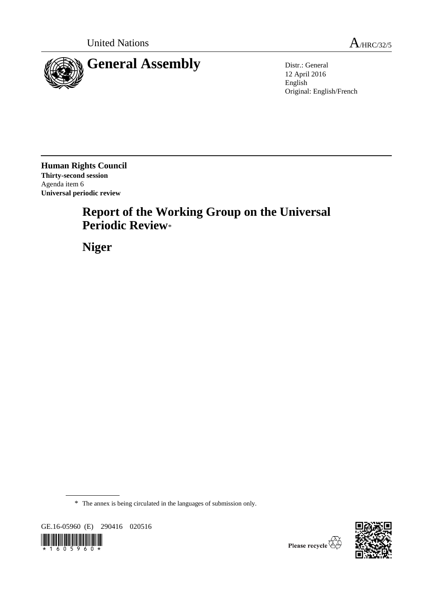

12 April 2016 English Original: English/French

**Human Rights Council Thirty-second session** Agenda item 6 **Universal periodic review**

# **Report of the Working Group on the Universal Periodic Review**\*

**Niger**

\* The annex is being circulated in the languages of submission only.

GE.16-05960 (E) 290416 020516





Please recycle  $\overleftrightarrow{C}$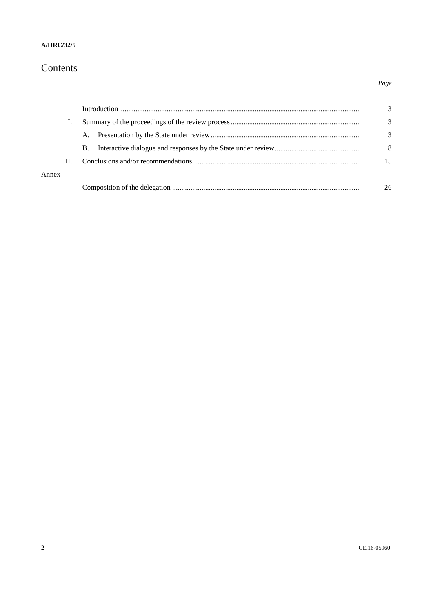# Contents

|       |    |    | 3             |
|-------|----|----|---------------|
|       |    |    | $\mathcal{R}$ |
|       |    | В. | 8             |
|       | H. |    | 15            |
| Annex |    |    |               |
|       |    |    | 26            |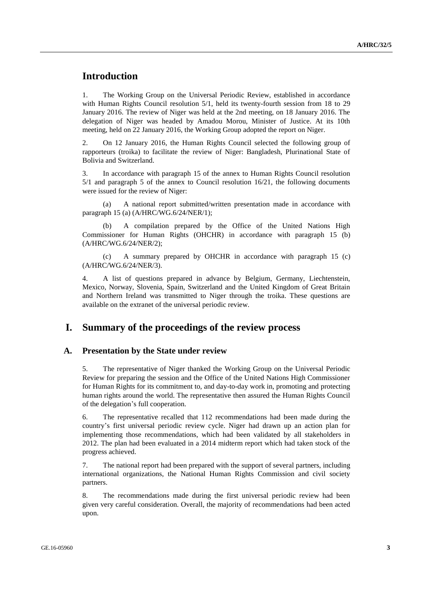# **Introduction**

1. The Working Group on the Universal Periodic Review, established in accordance with Human Rights Council resolution 5/1, held its twenty-fourth session from 18 to 29 January 2016. The review of Niger was held at the 2nd meeting, on 18 January 2016. The delegation of Niger was headed by Amadou Morou, Minister of Justice. At its 10th meeting, held on 22 January 2016, the Working Group adopted the report on Niger.

2. On 12 January 2016, the Human Rights Council selected the following group of rapporteurs (troika) to facilitate the review of Niger: Bangladesh, Plurinational State of Bolivia and Switzerland.

3. In accordance with paragraph 15 of the annex to Human Rights Council resolution 5/1 and paragraph 5 of the annex to Council resolution 16/21, the following documents were issued for the review of Niger:

(a) A national report submitted/written presentation made in accordance with paragraph 15 (a) (A/HRC/WG.6/24/NER/1);

(b) A compilation prepared by the Office of the United Nations High Commissioner for Human Rights (OHCHR) in accordance with paragraph 15 (b) (A/HRC/WG.6/24/NER/2);

(c) A summary prepared by OHCHR in accordance with paragraph 15 (c) (A/HRC/WG.6/24/NER/3).

4. A list of questions prepared in advance by Belgium, Germany, Liechtenstein, Mexico, Norway, Slovenia, Spain, Switzerland and the United Kingdom of Great Britain and Northern Ireland was transmitted to Niger through the troika. These questions are available on the extranet of the universal periodic review.

### **I. Summary of the proceedings of the review process**

#### **A. Presentation by the State under review**

5. The representative of Niger thanked the Working Group on the Universal Periodic Review for preparing the session and the Office of the United Nations High Commissioner for Human Rights for its commitment to, and day-to-day work in, promoting and protecting human rights around the world. The representative then assured the Human Rights Council of the delegation's full cooperation.

6. The representative recalled that 112 recommendations had been made during the country's first universal periodic review cycle. Niger had drawn up an action plan for implementing those recommendations, which had been validated by all stakeholders in 2012. The plan had been evaluated in a 2014 midterm report which had taken stock of the progress achieved.

7. The national report had been prepared with the support of several partners, including international organizations, the National Human Rights Commission and civil society partners.

8. The recommendations made during the first universal periodic review had been given very careful consideration. Overall, the majority of recommendations had been acted upon.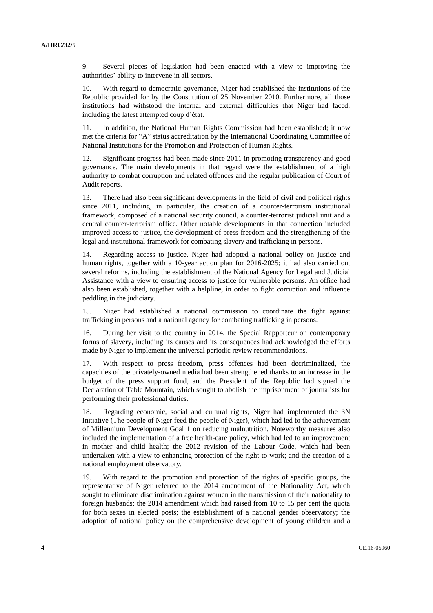9. Several pieces of legislation had been enacted with a view to improving the authorities' ability to intervene in all sectors.

10. With regard to democratic governance, Niger had established the institutions of the Republic provided for by the Constitution of 25 November 2010. Furthermore, all those institutions had withstood the internal and external difficulties that Niger had faced, including the latest attempted coup d'état.

11. In addition, the National Human Rights Commission had been established; it now met the criteria for "A" status accreditation by the International Coordinating Committee of National Institutions for the Promotion and Protection of Human Rights.

12. Significant progress had been made since 2011 in promoting transparency and good governance. The main developments in that regard were the establishment of a high authority to combat corruption and related offences and the regular publication of Court of Audit reports.

13. There had also been significant developments in the field of civil and political rights since 2011, including, in particular, the creation of a counter-terrorism institutional framework, composed of a national security council, a counter-terrorist judicial unit and a central counter-terrorism office. Other notable developments in that connection included improved access to justice, the development of press freedom and the strengthening of the legal and institutional framework for combating slavery and trafficking in persons.

14. Regarding access to justice, Niger had adopted a national policy on justice and human rights, together with a 10-year action plan for 2016-2025; it had also carried out several reforms, including the establishment of the National Agency for Legal and Judicial Assistance with a view to ensuring access to justice for vulnerable persons. An office had also been established, together with a helpline, in order to fight corruption and influence peddling in the judiciary.

15. Niger had established a national commission to coordinate the fight against trafficking in persons and a national agency for combating trafficking in persons.

16. During her visit to the country in 2014, the Special Rapporteur on contemporary forms of slavery, including its causes and its consequences had acknowledged the efforts made by Niger to implement the universal periodic review recommendations.

17. With respect to press freedom, press offences had been decriminalized, the capacities of the privately-owned media had been strengthened thanks to an increase in the budget of the press support fund, and the President of the Republic had signed the Declaration of Table Mountain, which sought to abolish the imprisonment of journalists for performing their professional duties.

18. Regarding economic, social and cultural rights, Niger had implemented the 3N Initiative (The people of Niger feed the people of Niger), which had led to the achievement of Millennium Development Goal 1 on reducing malnutrition. Noteworthy measures also included the implementation of a free health-care policy, which had led to an improvement in mother and child health; the 2012 revision of the Labour Code, which had been undertaken with a view to enhancing protection of the right to work; and the creation of a national employment observatory.

19. With regard to the promotion and protection of the rights of specific groups, the representative of Niger referred to the 2014 amendment of the Nationality Act, which sought to eliminate discrimination against women in the transmission of their nationality to foreign husbands; the 2014 amendment which had raised from 10 to 15 per cent the quota for both sexes in elected posts; the establishment of a national gender observatory; the adoption of national policy on the comprehensive development of young children and a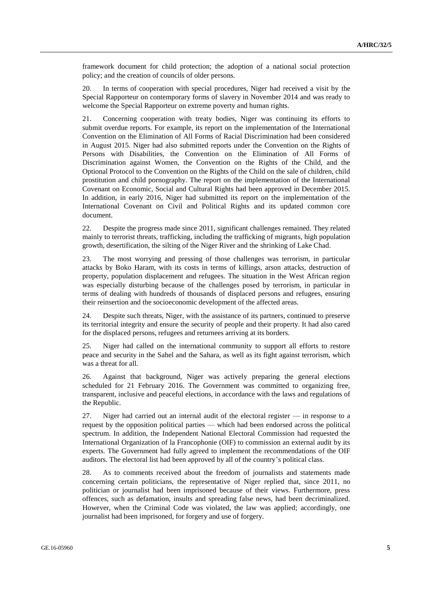framework document for child protection; the adoption of a national social protection policy; and the creation of councils of older persons.

20. In terms of cooperation with special procedures, Niger had received a visit by the Special Rapporteur on contemporary forms of slavery in November 2014 and was ready to welcome the Special Rapporteur on extreme poverty and human rights.

21. Concerning cooperation with treaty bodies, Niger was continuing its efforts to submit overdue reports. For example, its report on the implementation of the International Convention on the Elimination of All Forms of Racial Discrimination had been considered in August 2015. Niger had also submitted reports under the Convention on the Rights of Persons with Disabilities, the Convention on the Elimination of All Forms of Discrimination against Women, the Convention on the Rights of the Child, and the Optional Protocol to the Convention on the Rights of the Child on the sale of children, child prostitution and child pornography. The report on the implementation of the International Covenant on Economic, Social and Cultural Rights had been approved in December 2015. In addition, in early 2016, Niger had submitted its report on the implementation of the International Covenant on Civil and Political Rights and its updated common core document.

22. Despite the progress made since 2011, significant challenges remained. They related mainly to terrorist threats, trafficking, including the trafficking of migrants, high population growth, desertification, the silting of the Niger River and the shrinking of Lake Chad.

23. The most worrying and pressing of those challenges was terrorism, in particular attacks by Boko Haram, with its costs in terms of killings, arson attacks, destruction of property, population displacement and refugees. The situation in the West African region was especially disturbing because of the challenges posed by terrorism, in particular in terms of dealing with hundreds of thousands of displaced persons and refugees, ensuring their reinsertion and the socioeconomic development of the affected areas.

24. Despite such threats, Niger, with the assistance of its partners, continued to preserve its territorial integrity and ensure the security of people and their property. It had also cared for the displaced persons, refugees and returnees arriving at its borders.

25. Niger had called on the international community to support all efforts to restore peace and security in the Sahel and the Sahara, as well as its fight against terrorism, which was a threat for all.

26. Against that background, Niger was actively preparing the general elections scheduled for 21 February 2016. The Government was committed to organizing free, transparent, inclusive and peaceful elections, in accordance with the laws and regulations of the Republic.

27. Niger had carried out an internal audit of the electoral register — in response to a request by the opposition political parties — which had been endorsed across the political spectrum. In addition, the Independent National Electoral Commission had requested the International Organization of la Francophonie (OIF) to commission an external audit by its experts. The Government had fully agreed to implement the recommendations of the OIF auditors. The electoral list had been approved by all of the country's political class.

28. As to comments received about the freedom of journalists and statements made concerning certain politicians, the representative of Niger replied that, since 2011, no politician or journalist had been imprisoned because of their views. Furthermore, press offences, such as defamation, insults and spreading false news, had been decriminalized. However, when the Criminal Code was violated, the law was applied; accordingly, one journalist had been imprisoned, for forgery and use of forgery.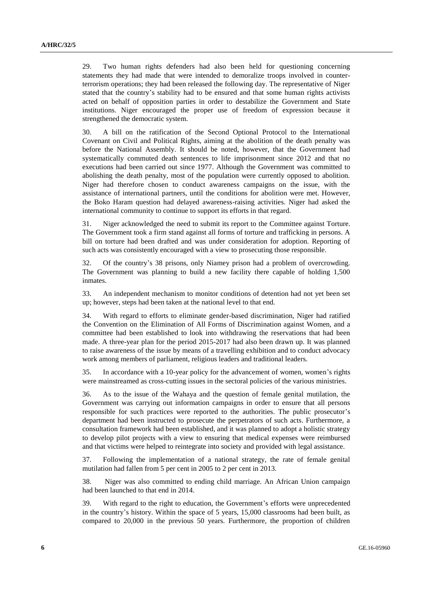29. Two human rights defenders had also been held for questioning concerning statements they had made that were intended to demoralize troops involved in counterterrorism operations; they had been released the following day. The representative of Niger stated that the country's stability had to be ensured and that some human rights activists acted on behalf of opposition parties in order to destabilize the Government and State institutions. Niger encouraged the proper use of freedom of expression because it strengthened the democratic system.

30. A bill on the ratification of the Second Optional Protocol to the International Covenant on Civil and Political Rights, aiming at the abolition of the death penalty was before the National Assembly. It should be noted, however, that the Government had systematically commuted death sentences to life imprisonment since 2012 and that no executions had been carried out since 1977. Although the Government was committed to abolishing the death penalty, most of the population were currently opposed to abolition. Niger had therefore chosen to conduct awareness campaigns on the issue, with the assistance of international partners, until the conditions for abolition were met. However, the Boko Haram question had delayed awareness-raising activities. Niger had asked the international community to continue to support its efforts in that regard.

31. Niger acknowledged the need to submit its report to the Committee against Torture. The Government took a firm stand against all forms of torture and trafficking in persons. A bill on torture had been drafted and was under consideration for adoption. Reporting of such acts was consistently encouraged with a view to prosecuting those responsible.

32. Of the country's 38 prisons, only Niamey prison had a problem of overcrowding. The Government was planning to build a new facility there capable of holding 1,500 inmates.

33. An independent mechanism to monitor conditions of detention had not yet been set up; however, steps had been taken at the national level to that end.

34. With regard to efforts to eliminate gender-based discrimination, Niger had ratified the Convention on the Elimination of All Forms of Discrimination against Women, and a committee had been established to look into withdrawing the reservations that had been made. A three-year plan for the period 2015-2017 had also been drawn up. It was planned to raise awareness of the issue by means of a travelling exhibition and to conduct advocacy work among members of parliament, religious leaders and traditional leaders.

35. In accordance with a 10-year policy for the advancement of women, women's rights were mainstreamed as cross-cutting issues in the sectoral policies of the various ministries.

36. As to the issue of the Wahaya and the question of female genital mutilation, the Government was carrying out information campaigns in order to ensure that all persons responsible for such practices were reported to the authorities. The public prosecutor's department had been instructed to prosecute the perpetrators of such acts. Furthermore, a consultation framework had been established, and it was planned to adopt a holistic strategy to develop pilot projects with a view to ensuring that medical expenses were reimbursed and that victims were helped to reintegrate into society and provided with legal assistance.

37. Following the implementation of a national strategy, the rate of female genital mutilation had fallen from 5 per cent in 2005 to 2 per cent in 2013.

38. Niger was also committed to ending child marriage. An African Union campaign had been launched to that end in 2014.

39. With regard to the right to education, the Government's efforts were unprecedented in the country's history. Within the space of 5 years, 15,000 classrooms had been built, as compared to 20,000 in the previous 50 years. Furthermore, the proportion of children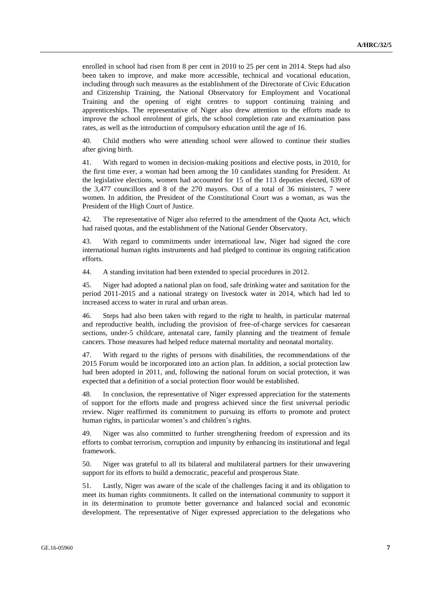enrolled in school had risen from 8 per cent in 2010 to 25 per cent in 2014. Steps had also been taken to improve, and make more accessible, technical and vocational education, including through such measures as the establishment of the Directorate of Civic Education and Citizenship Training, the National Observatory for Employment and Vocational Training and the opening of eight centres to support continuing training and apprenticeships. The representative of Niger also drew attention to the efforts made to improve the school enrolment of girls, the school completion rate and examination pass rates, as well as the introduction of compulsory education until the age of 16.

40. Child mothers who were attending school were allowed to continue their studies after giving birth.

41. With regard to women in decision-making positions and elective posts, in 2010, for the first time ever, a woman had been among the 10 candidates standing for President. At the legislative elections, women had accounted for 15 of the 113 deputies elected, 639 of the 3,477 councillors and 8 of the 270 mayors. Out of a total of 36 ministers, 7 were women. In addition, the President of the Constitutional Court was a woman, as was the President of the High Court of Justice.

42. The representative of Niger also referred to the amendment of the Quota Act, which had raised quotas, and the establishment of the National Gender Observatory.

43. With regard to commitments under international law, Niger had signed the core international human rights instruments and had pledged to continue its ongoing ratification efforts.

44. A standing invitation had been extended to special procedures in 2012.

45. Niger had adopted a national plan on food, safe drinking water and sanitation for the period 2011-2015 and a national strategy on livestock water in 2014, which had led to increased access to water in rural and urban areas.

46. Steps had also been taken with regard to the right to health, in particular maternal and reproductive health, including the provision of free-of-charge services for caesarean sections, under-5 childcare, antenatal care, family planning and the treatment of female cancers. Those measures had helped reduce maternal mortality and neonatal mortality.

47. With regard to the rights of persons with disabilities, the recommendations of the 2015 Forum would be incorporated into an action plan. In addition, a social protection law had been adopted in 2011, and, following the national forum on social protection, it was expected that a definition of a social protection floor would be established.

48. In conclusion, the representative of Niger expressed appreciation for the statements of support for the efforts made and progress achieved since the first universal periodic review. Niger reaffirmed its commitment to pursuing its efforts to promote and protect human rights, in particular women's and children's rights.

49. Niger was also committed to further strengthening freedom of expression and its efforts to combat terrorism, corruption and impunity by enhancing its institutional and legal framework.

50. Niger was grateful to all its bilateral and multilateral partners for their unwavering support for its efforts to build a democratic, peaceful and prosperous State.

51. Lastly, Niger was aware of the scale of the challenges facing it and its obligation to meet its human rights commitments. It called on the international community to support it in its determination to promote better governance and balanced social and economic development. The representative of Niger expressed appreciation to the delegations who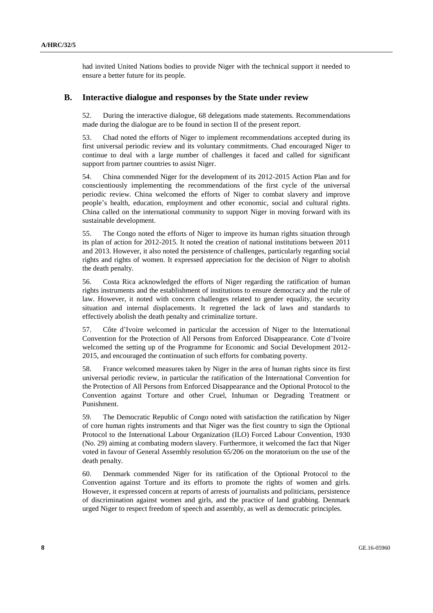had invited United Nations bodies to provide Niger with the technical support it needed to ensure a better future for its people.

### **B. Interactive dialogue and responses by the State under review**

52. During the interactive dialogue, 68 delegations made statements. Recommendations made during the dialogue are to be found in section II of the present report.

53. Chad noted the efforts of Niger to implement recommendations accepted during its first universal periodic review and its voluntary commitments. Chad encouraged Niger to continue to deal with a large number of challenges it faced and called for significant support from partner countries to assist Niger.

54. China commended Niger for the development of its 2012-2015 Action Plan and for conscientiously implementing the recommendations of the first cycle of the universal periodic review. China welcomed the efforts of Niger to combat slavery and improve people's health, education, employment and other economic, social and cultural rights. China called on the international community to support Niger in moving forward with its sustainable development.

55. The Congo noted the efforts of Niger to improve its human rights situation through its plan of action for 2012-2015. It noted the creation of national institutions between 2011 and 2013. However, it also noted the persistence of challenges, particularly regarding social rights and rights of women. It expressed appreciation for the decision of Niger to abolish the death penalty.

56. Costa Rica acknowledged the efforts of Niger regarding the ratification of human rights instruments and the establishment of institutions to ensure democracy and the rule of law. However, it noted with concern challenges related to gender equality, the security situation and internal displacements. It regretted the lack of laws and standards to effectively abolish the death penalty and criminalize torture.

57. Côte d'Ivoire welcomed in particular the accession of Niger to the International Convention for the Protection of All Persons from Enforced Disappearance. Cote d'Ivoire welcomed the setting up of the Programme for Economic and Social Development 2012- 2015, and encouraged the continuation of such efforts for combating poverty.

58. France welcomed measures taken by Niger in the area of human rights since its first universal periodic review, in particular the ratification of the International Convention for the Protection of All Persons from Enforced Disappearance and the Optional Protocol to the Convention against Torture and other Cruel, Inhuman or Degrading Treatment or Punishment.

59. The Democratic Republic of Congo noted with satisfaction the ratification by Niger of core human rights instruments and that Niger was the first country to sign the Optional Protocol to the International Labour Organization (ILO) Forced Labour Convention, 1930 (No. 29) aiming at combating modern slavery. Furthermore, it welcomed the fact that Niger voted in favour of General Assembly resolution 65/206 on the moratorium on the use of the death penalty.

60. Denmark commended Niger for its ratification of the Optional Protocol to the Convention against Torture and its efforts to promote the rights of women and girls. However, it expressed concern at reports of arrests of journalists and politicians, persistence of discrimination against women and girls, and the practice of land grabbing. Denmark urged Niger to respect freedom of speech and assembly, as well as democratic principles.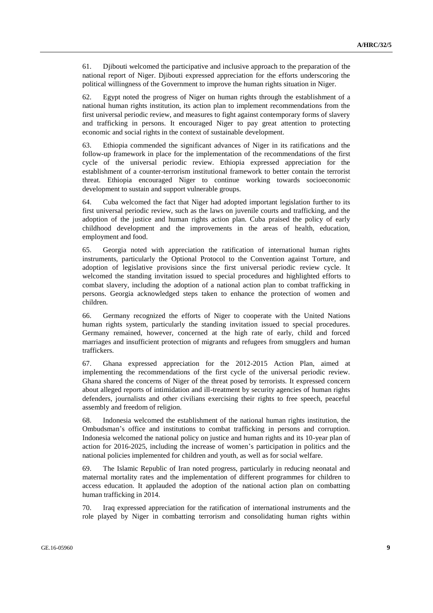61. Djibouti welcomed the participative and inclusive approach to the preparation of the national report of Niger. Djibouti expressed appreciation for the efforts underscoring the political willingness of the Government to improve the human rights situation in Niger.

62. Egypt noted the progress of Niger on human rights through the establishment of a national human rights institution, its action plan to implement recommendations from the first universal periodic review, and measures to fight against contemporary forms of slavery and trafficking in persons. It encouraged Niger to pay great attention to protecting economic and social rights in the context of sustainable development.

63. Ethiopia commended the significant advances of Niger in its ratifications and the follow-up framework in place for the implementation of the recommendations of the first cycle of the universal periodic review. Ethiopia expressed appreciation for the establishment of a counter-terrorism institutional framework to better contain the terrorist threat. Ethiopia encouraged Niger to continue working towards socioeconomic development to sustain and support vulnerable groups.

64. Cuba welcomed the fact that Niger had adopted important legislation further to its first universal periodic review, such as the laws on juvenile courts and trafficking, and the adoption of the justice and human rights action plan. Cuba praised the policy of early childhood development and the improvements in the areas of health, education, employment and food.

65. Georgia noted with appreciation the ratification of international human rights instruments, particularly the Optional Protocol to the Convention against Torture, and adoption of legislative provisions since the first universal periodic review cycle. It welcomed the standing invitation issued to special procedures and highlighted efforts to combat slavery, including the adoption of a national action plan to combat trafficking in persons. Georgia acknowledged steps taken to enhance the protection of women and children.

66. Germany recognized the efforts of Niger to cooperate with the United Nations human rights system, particularly the standing invitation issued to special procedures. Germany remained, however, concerned at the high rate of early, child and forced marriages and insufficient protection of migrants and refugees from smugglers and human traffickers.

67. Ghana expressed appreciation for the 2012-2015 Action Plan, aimed at implementing the recommendations of the first cycle of the universal periodic review. Ghana shared the concerns of Niger of the threat posed by terrorists. It expressed concern about alleged reports of intimidation and ill-treatment by security agencies of human rights defenders, journalists and other civilians exercising their rights to free speech, peaceful assembly and freedom of religion.

68. Indonesia welcomed the establishment of the national human rights institution, the Ombudsman's office and institutions to combat trafficking in persons and corruption. Indonesia welcomed the national policy on justice and human rights and its 10-year plan of action for 2016-2025, including the increase of women's participation in politics and the national policies implemented for children and youth, as well as for social welfare.

69. The Islamic Republic of Iran noted progress, particularly in reducing neonatal and maternal mortality rates and the implementation of different programmes for children to access education. It applauded the adoption of the national action plan on combatting human trafficking in 2014.

70. Iraq expressed appreciation for the ratification of international instruments and the role played by Niger in combatting terrorism and consolidating human rights within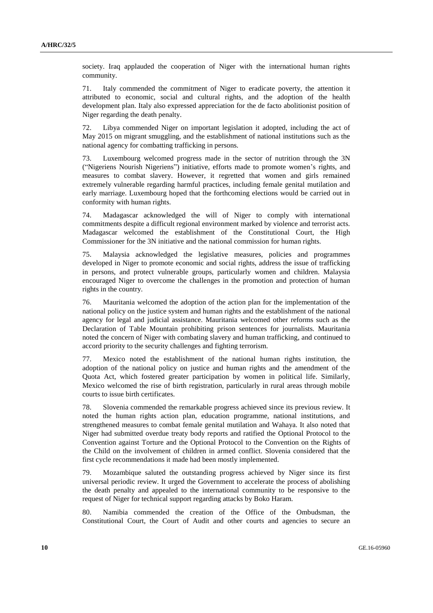society. Iraq applauded the cooperation of Niger with the international human rights community.

71. Italy commended the commitment of Niger to eradicate poverty, the attention it attributed to economic, social and cultural rights, and the adoption of the health development plan. Italy also expressed appreciation for the de facto abolitionist position of Niger regarding the death penalty.

72. Libya commended Niger on important legislation it adopted, including the act of May 2015 on migrant smuggling, and the establishment of national institutions such as the national agency for combatting trafficking in persons.

73. Luxembourg welcomed progress made in the sector of nutrition through the 3N ("Nigeriens Nourish Nigeriens") initiative, efforts made to promote women's rights, and measures to combat slavery. However, it regretted that women and girls remained extremely vulnerable regarding harmful practices, including female genital mutilation and early marriage. Luxembourg hoped that the forthcoming elections would be carried out in conformity with human rights.

74. Madagascar acknowledged the will of Niger to comply with international commitments despite a difficult regional environment marked by violence and terrorist acts. Madagascar welcomed the establishment of the Constitutional Court, the High Commissioner for the 3N initiative and the national commission for human rights.

75. Malaysia acknowledged the legislative measures, policies and programmes developed in Niger to promote economic and social rights, address the issue of trafficking in persons, and protect vulnerable groups, particularly women and children. Malaysia encouraged Niger to overcome the challenges in the promotion and protection of human rights in the country.

76. Mauritania welcomed the adoption of the action plan for the implementation of the national policy on the justice system and human rights and the establishment of the national agency for legal and judicial assistance. Mauritania welcomed other reforms such as the Declaration of Table Mountain prohibiting prison sentences for journalists. Mauritania noted the concern of Niger with combating slavery and human trafficking, and continued to accord priority to the security challenges and fighting terrorism.

77. Mexico noted the establishment of the national human rights institution, the adoption of the national policy on justice and human rights and the amendment of the Quota Act, which fostered greater participation by women in political life. Similarly, Mexico welcomed the rise of birth registration, particularly in rural areas through mobile courts to issue birth certificates.

78. Slovenia commended the remarkable progress achieved since its previous review. It noted the human rights action plan, education programme, national institutions, and strengthened measures to combat female genital mutilation and Wahaya. It also noted that Niger had submitted overdue treaty body reports and ratified the Optional Protocol to the Convention against Torture and the Optional Protocol to the Convention on the Rights of the Child on the involvement of children in armed conflict. Slovenia considered that the first cycle recommendations it made had been mostly implemented.

79. Mozambique saluted the outstanding progress achieved by Niger since its first universal periodic review. It urged the Government to accelerate the process of abolishing the death penalty and appealed to the international community to be responsive to the request of Niger for technical support regarding attacks by Boko Haram.

80. Namibia commended the creation of the Office of the Ombudsman, the Constitutional Court, the Court of Audit and other courts and agencies to secure an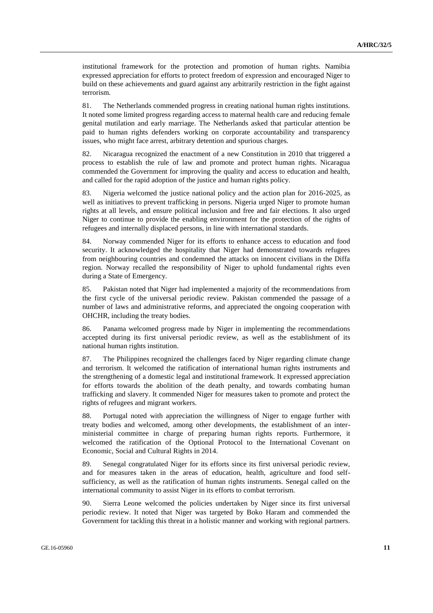institutional framework for the protection and promotion of human rights. Namibia expressed appreciation for efforts to protect freedom of expression and encouraged Niger to build on these achievements and guard against any arbitrarily restriction in the fight against terrorism.

81. The Netherlands commended progress in creating national human rights institutions. It noted some limited progress regarding access to maternal health care and reducing female genital mutilation and early marriage. The Netherlands asked that particular attention be paid to human rights defenders working on corporate accountability and transparency issues, who might face arrest, arbitrary detention and spurious charges.

82. Nicaragua recognized the enactment of a new Constitution in 2010 that triggered a process to establish the rule of law and promote and protect human rights. Nicaragua commended the Government for improving the quality and access to education and health, and called for the rapid adoption of the justice and human rights policy.

83. Nigeria welcomed the justice national policy and the action plan for 2016-2025, as well as initiatives to prevent trafficking in persons. Nigeria urged Niger to promote human rights at all levels, and ensure political inclusion and free and fair elections. It also urged Niger to continue to provide the enabling environment for the protection of the rights of refugees and internally displaced persons, in line with international standards.

84. Norway commended Niger for its efforts to enhance access to education and food security. It acknowledged the hospitality that Niger had demonstrated towards refugees from neighbouring countries and condemned the attacks on innocent civilians in the Diffa region. Norway recalled the responsibility of Niger to uphold fundamental rights even during a State of Emergency.

85. Pakistan noted that Niger had implemented a majority of the recommendations from the first cycle of the universal periodic review. Pakistan commended the passage of a number of laws and administrative reforms, and appreciated the ongoing cooperation with OHCHR, including the treaty bodies.

86. Panama welcomed progress made by Niger in implementing the recommendations accepted during its first universal periodic review, as well as the establishment of its national human rights institution.

87. The Philippines recognized the challenges faced by Niger regarding climate change and terrorism. It welcomed the ratification of international human rights instruments and the strengthening of a domestic legal and institutional framework. It expressed appreciation for efforts towards the abolition of the death penalty, and towards combating human trafficking and slavery. It commended Niger for measures taken to promote and protect the rights of refugees and migrant workers.

88. Portugal noted with appreciation the willingness of Niger to engage further with treaty bodies and welcomed, among other developments, the establishment of an interministerial committee in charge of preparing human rights reports. Furthermore, it welcomed the ratification of the Optional Protocol to the International Covenant on Economic, Social and Cultural Rights in 2014.

89. Senegal congratulated Niger for its efforts since its first universal periodic review, and for measures taken in the areas of education, health, agriculture and food selfsufficiency, as well as the ratification of human rights instruments. Senegal called on the international community to assist Niger in its efforts to combat terrorism.

90. Sierra Leone welcomed the policies undertaken by Niger since its first universal periodic review. It noted that Niger was targeted by Boko Haram and commended the Government for tackling this threat in a holistic manner and working with regional partners.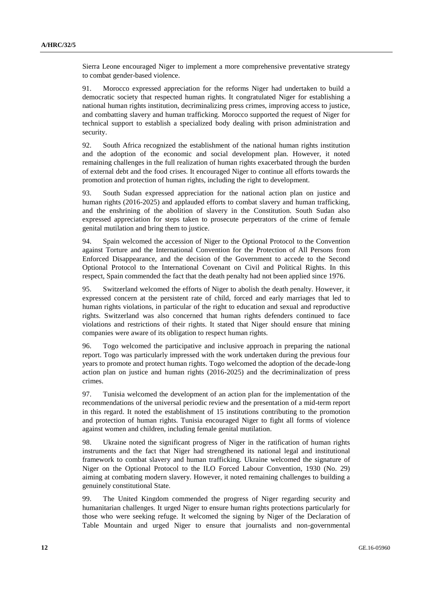Sierra Leone encouraged Niger to implement a more comprehensive preventative strategy to combat gender-based violence.

91. Morocco expressed appreciation for the reforms Niger had undertaken to build a democratic society that respected human rights. It congratulated Niger for establishing a national human rights institution, decriminalizing press crimes, improving access to justice, and combatting slavery and human trafficking. Morocco supported the request of Niger for technical support to establish a specialized body dealing with prison administration and security.

92. South Africa recognized the establishment of the national human rights institution and the adoption of the economic and social development plan. However, it noted remaining challenges in the full realization of human rights exacerbated through the burden of external debt and the food crises. It encouraged Niger to continue all efforts towards the promotion and protection of human rights, including the right to development.

93. South Sudan expressed appreciation for the national action plan on justice and human rights (2016-2025) and applauded efforts to combat slavery and human trafficking, and the enshrining of the abolition of slavery in the Constitution. South Sudan also expressed appreciation for steps taken to prosecute perpetrators of the crime of female genital mutilation and bring them to justice.

94. Spain welcomed the accession of Niger to the Optional Protocol to the Convention against Torture and the International Convention for the Protection of All Persons from Enforced Disappearance, and the decision of the Government to accede to the Second Optional Protocol to the International Covenant on Civil and Political Rights. In this respect, Spain commended the fact that the death penalty had not been applied since 1976.

95. Switzerland welcomed the efforts of Niger to abolish the death penalty. However, it expressed concern at the persistent rate of child, forced and early marriages that led to human rights violations, in particular of the right to education and sexual and reproductive rights. Switzerland was also concerned that human rights defenders continued to face violations and restrictions of their rights. It stated that Niger should ensure that mining companies were aware of its obligation to respect human rights.

96. Togo welcomed the participative and inclusive approach in preparing the national report. Togo was particularly impressed with the work undertaken during the previous four years to promote and protect human rights. Togo welcomed the adoption of the decade-long action plan on justice and human rights (2016-2025) and the decriminalization of press crimes.

97. Tunisia welcomed the development of an action plan for the implementation of the recommendations of the universal periodic review and the presentation of a mid-term report in this regard. It noted the establishment of 15 institutions contributing to the promotion and protection of human rights. Tunisia encouraged Niger to fight all forms of violence against women and children, including female genital mutilation.

98. Ukraine noted the significant progress of Niger in the ratification of human rights instruments and the fact that Niger had strengthened its national legal and institutional framework to combat slavery and human trafficking. Ukraine welcomed the signature of Niger on the Optional Protocol to the ILO Forced Labour Convention, 1930 (No. 29) aiming at combating modern slavery. However, it noted remaining challenges to building a genuinely constitutional State.

99. The United Kingdom commended the progress of Niger regarding security and humanitarian challenges. It urged Niger to ensure human rights protections particularly for those who were seeking refuge. It welcomed the signing by Niger of the Declaration of Table Mountain and urged Niger to ensure that journalists and non-governmental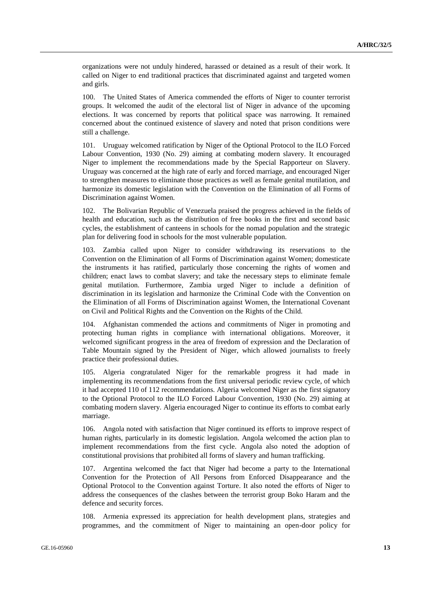organizations were not unduly hindered, harassed or detained as a result of their work. It called on Niger to end traditional practices that discriminated against and targeted women and girls.

100. The United States of America commended the efforts of Niger to counter terrorist groups. It welcomed the audit of the electoral list of Niger in advance of the upcoming elections. It was concerned by reports that political space was narrowing. It remained concerned about the continued existence of slavery and noted that prison conditions were still a challenge.

101. Uruguay welcomed ratification by Niger of the Optional Protocol to the ILO Forced Labour Convention, 1930 (No. 29) aiming at combating modern slavery. It encouraged Niger to implement the recommendations made by the Special Rapporteur on Slavery. Uruguay was concerned at the high rate of early and forced marriage, and encouraged Niger to strengthen measures to eliminate those practices as well as female genital mutilation, and harmonize its domestic legislation with the Convention on the Elimination of all Forms of Discrimination against Women.

102. The Bolivarian Republic of Venezuela praised the progress achieved in the fields of health and education, such as the distribution of free books in the first and second basic cycles, the establishment of canteens in schools for the nomad population and the strategic plan for delivering food in schools for the most vulnerable population.

103. Zambia called upon Niger to consider withdrawing its reservations to the Convention on the Elimination of all Forms of Discrimination against Women; domesticate the instruments it has ratified, particularly those concerning the rights of women and children; enact laws to combat slavery; and take the necessary steps to eliminate female genital mutilation. Furthermore, Zambia urged Niger to include a definition of discrimination in its legislation and harmonize the Criminal Code with the Convention on the Elimination of all Forms of Discrimination against Women, the International Covenant on Civil and Political Rights and the Convention on the Rights of the Child.

104. Afghanistan commended the actions and commitments of Niger in promoting and protecting human rights in compliance with international obligations. Moreover, it welcomed significant progress in the area of freedom of expression and the Declaration of Table Mountain signed by the President of Niger, which allowed journalists to freely practice their professional duties.

105. Algeria congratulated Niger for the remarkable progress it had made in implementing its recommendations from the first universal periodic review cycle, of which it had accepted 110 of 112 recommendations. Algeria welcomed Niger as the first signatory to the Optional Protocol to the ILO Forced Labour Convention, 1930 (No. 29) aiming at combating modern slavery. Algeria encouraged Niger to continue its efforts to combat early marriage.

106. Angola noted with satisfaction that Niger continued its efforts to improve respect of human rights, particularly in its domestic legislation. Angola welcomed the action plan to implement recommendations from the first cycle. Angola also noted the adoption of constitutional provisions that prohibited all forms of slavery and human trafficking.

107. Argentina welcomed the fact that Niger had become a party to the International Convention for the Protection of All Persons from Enforced Disappearance and the Optional Protocol to the Convention against Torture. It also noted the efforts of Niger to address the consequences of the clashes between the terrorist group Boko Haram and the defence and security forces.

108. Armenia expressed its appreciation for health development plans, strategies and programmes, and the commitment of Niger to maintaining an open-door policy for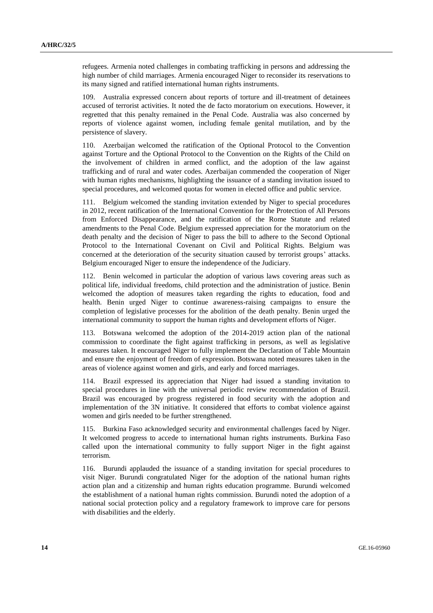refugees. Armenia noted challenges in combating trafficking in persons and addressing the high number of child marriages. Armenia encouraged Niger to reconsider its reservations to its many signed and ratified international human rights instruments.

109. Australia expressed concern about reports of torture and ill-treatment of detainees accused of terrorist activities. It noted the de facto moratorium on executions. However, it regretted that this penalty remained in the Penal Code. Australia was also concerned by reports of violence against women, including female genital mutilation, and by the persistence of slavery.

110. Azerbaijan welcomed the ratification of the Optional Protocol to the Convention against Torture and the Optional Protocol to the Convention on the Rights of the Child on the involvement of children in armed conflict, and the adoption of the law against trafficking and of rural and water codes. Azerbaijan commended the cooperation of Niger with human rights mechanisms, highlighting the issuance of a standing invitation issued to special procedures, and welcomed quotas for women in elected office and public service.

111. Belgium welcomed the standing invitation extended by Niger to special procedures in 2012, recent ratification of the International Convention for the Protection of All Persons from Enforced Disappearance, and the ratification of the Rome Statute and related amendments to the Penal Code. Belgium expressed appreciation for the moratorium on the death penalty and the decision of Niger to pass the bill to adhere to the Second Optional Protocol to the International Covenant on Civil and Political Rights. Belgium was concerned at the deterioration of the security situation caused by terrorist groups' attacks. Belgium encouraged Niger to ensure the independence of the Judiciary.

112. Benin welcomed in particular the adoption of various laws covering areas such as political life, individual freedoms, child protection and the administration of justice. Benin welcomed the adoption of measures taken regarding the rights to education, food and health. Benin urged Niger to continue awareness-raising campaigns to ensure the completion of legislative processes for the abolition of the death penalty. Benin urged the international community to support the human rights and development efforts of Niger.

113. Botswana welcomed the adoption of the 2014-2019 action plan of the national commission to coordinate the fight against trafficking in persons, as well as legislative measures taken. It encouraged Niger to fully implement the Declaration of Table Mountain and ensure the enjoyment of freedom of expression. Botswana noted measures taken in the areas of violence against women and girls, and early and forced marriages.

114. Brazil expressed its appreciation that Niger had issued a standing invitation to special procedures in line with the universal periodic review recommendation of Brazil. Brazil was encouraged by progress registered in food security with the adoption and implementation of the 3N initiative. It considered that efforts to combat violence against women and girls needed to be further strengthened.

115. Burkina Faso acknowledged security and environmental challenges faced by Niger. It welcomed progress to accede to international human rights instruments. Burkina Faso called upon the international community to fully support Niger in the fight against terrorism.

116. Burundi applauded the issuance of a standing invitation for special procedures to visit Niger. Burundi congratulated Niger for the adoption of the national human rights action plan and a citizenship and human rights education programme. Burundi welcomed the establishment of a national human rights commission. Burundi noted the adoption of a national social protection policy and a regulatory framework to improve care for persons with disabilities and the elderly.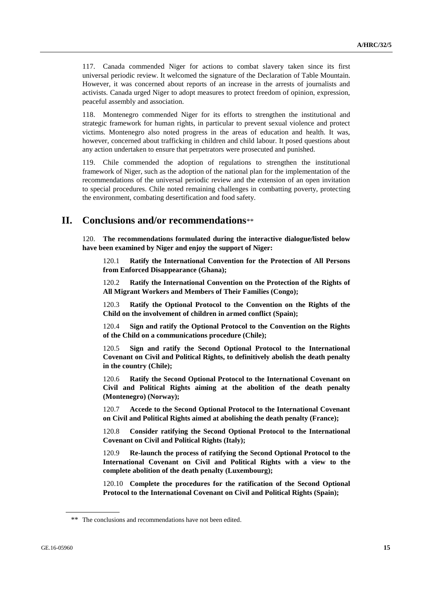117. Canada commended Niger for actions to combat slavery taken since its first universal periodic review. It welcomed the signature of the Declaration of Table Mountain. However, it was concerned about reports of an increase in the arrests of journalists and activists. Canada urged Niger to adopt measures to protect freedom of opinion, expression, peaceful assembly and association.

118. Montenegro commended Niger for its efforts to strengthen the institutional and strategic framework for human rights, in particular to prevent sexual violence and protect victims. Montenegro also noted progress in the areas of education and health. It was, however, concerned about trafficking in children and child labour. It posed questions about any action undertaken to ensure that perpetrators were prosecuted and punished.

119. Chile commended the adoption of regulations to strengthen the institutional framework of Niger, such as the adoption of the national plan for the implementation of the recommendations of the universal periodic review and the extension of an open invitation to special procedures. Chile noted remaining challenges in combatting poverty, protecting the environment, combating desertification and food safety.

### **II. Conclusions and/or recommendations**\*\*

120. **The recommendations formulated during the interactive dialogue/listed below have been examined by Niger and enjoy the support of Niger:**

120.1 **Ratify the International Convention for the Protection of All Persons from Enforced Disappearance (Ghana);**

120.2 **Ratify the International Convention on the Protection of the Rights of All Migrant Workers and Members of Their Families (Congo);**

120.3 **Ratify the Optional Protocol to the Convention on the Rights of the Child on the involvement of children in armed conflict (Spain);**

120.4 **Sign and ratify the Optional Protocol to the Convention on the Rights of the Child on a communications procedure (Chile);**

120.5 **Sign and ratify the Second Optional Protocol to the International Covenant on Civil and Political Rights, to definitively abolish the death penalty in the country (Chile);**

120.6 **Ratify the Second Optional Protocol to the International Covenant on Civil and Political Rights aiming at the abolition of the death penalty (Montenegro) (Norway);**

120.7 **Accede to the Second Optional Protocol to the International Covenant on Civil and Political Rights aimed at abolishing the death penalty (France);**

120.8 **Consider ratifying the Second Optional Protocol to the International Covenant on Civil and Political Rights (Italy);**

120.9 **Re-launch the process of ratifying the Second Optional Protocol to the International Covenant on Civil and Political Rights with a view to the complete abolition of the death penalty (Luxembourg);**

120.10 **Complete the procedures for the ratification of the Second Optional Protocol to the International Covenant on Civil and Political Rights (Spain);**

<sup>\*\*</sup> The conclusions and recommendations have not been edited.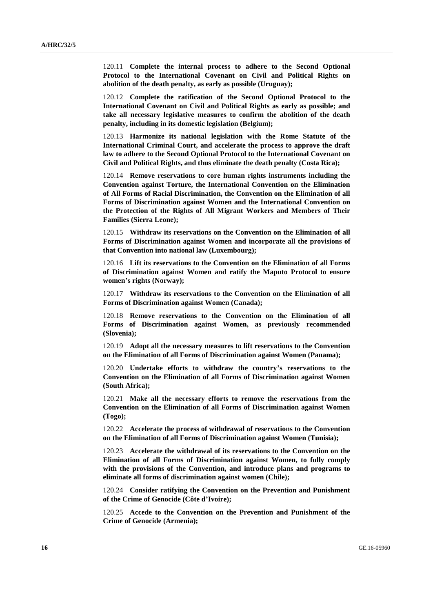120.11 **Complete the internal process to adhere to the Second Optional Protocol to the International Covenant on Civil and Political Rights on abolition of the death penalty, as early as possible (Uruguay);**

120.12 **Complete the ratification of the Second Optional Protocol to the International Covenant on Civil and Political Rights as early as possible; and take all necessary legislative measures to confirm the abolition of the death penalty, including in its domestic legislation (Belgium);**

120.13 **Harmonize its national legislation with the Rome Statute of the International Criminal Court, and accelerate the process to approve the draft law to adhere to the Second Optional Protocol to the International Covenant on Civil and Political Rights, and thus eliminate the death penalty (Costa Rica);**

120.14 **Remove reservations to core human rights instruments including the Convention against Torture, the International Convention on the Elimination of All Forms of Racial Discrimination, the Convention on the Elimination of all Forms of Discrimination against Women and the International Convention on the Protection of the Rights of All Migrant Workers and Members of Their Families (Sierra Leone);**

120.15 **Withdraw its reservations on the Convention on the Elimination of all Forms of Discrimination against Women and incorporate all the provisions of that Convention into national law (Luxembourg);**

120.16 **Lift its reservations to the Convention on the Elimination of all Forms of Discrimination against Women and ratify the Maputo Protocol to ensure women's rights (Norway);**

120.17 **Withdraw its reservations to the Convention on the Elimination of all Forms of Discrimination against Women (Canada);**

120.18 **Remove reservations to the Convention on the Elimination of all Forms of Discrimination against Women, as previously recommended (Slovenia);**

120.19 **Adopt all the necessary measures to lift reservations to the Convention on the Elimination of all Forms of Discrimination against Women (Panama);**

120.20 **Undertake efforts to withdraw the country's reservations to the Convention on the Elimination of all Forms of Discrimination against Women (South Africa);**

120.21 **Make all the necessary efforts to remove the reservations from the Convention on the Elimination of all Forms of Discrimination against Women (Togo);**

120.22 **Accelerate the process of withdrawal of reservations to the Convention on the Elimination of all Forms of Discrimination against Women (Tunisia);**

120.23 **Accelerate the withdrawal of its reservations to the Convention on the Elimination of all Forms of Discrimination against Women, to fully comply with the provisions of the Convention, and introduce plans and programs to eliminate all forms of discrimination against women (Chile);**

120.24 **Consider ratifying the Convention on the Prevention and Punishment of the Crime of Genocide (Côte d'Ivoire);**

120.25 **Accede to the Convention on the Prevention and Punishment of the Crime of Genocide (Armenia);**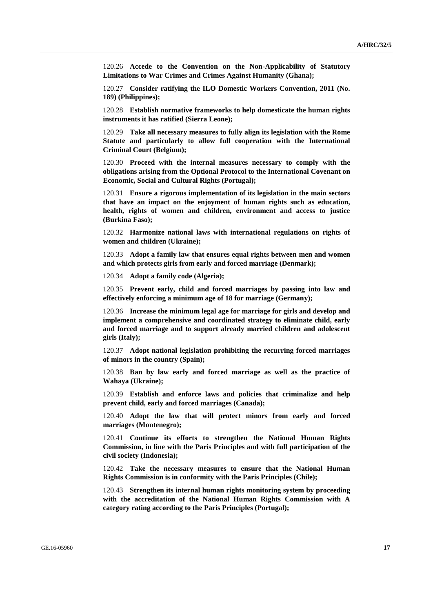120.26 **Accede to the Convention on the Non-Applicability of Statutory Limitations to War Crimes and Crimes Against Humanity (Ghana);**

120.27 **Consider ratifying the ILO Domestic Workers Convention, 2011 (No. 189) (Philippines);**

120.28 **Establish normative frameworks to help domesticate the human rights instruments it has ratified (Sierra Leone);**

120.29 **Take all necessary measures to fully align its legislation with the Rome Statute and particularly to allow full cooperation with the International Criminal Court (Belgium);**

120.30 **Proceed with the internal measures necessary to comply with the obligations arising from the Optional Protocol to the International Covenant on Economic, Social and Cultural Rights (Portugal);**

120.31 **Ensure a rigorous implementation of its legislation in the main sectors that have an impact on the enjoyment of human rights such as education, health, rights of women and children, environment and access to justice (Burkina Faso);**

120.32 **Harmonize national laws with international regulations on rights of women and children (Ukraine);**

120.33 **Adopt a family law that ensures equal rights between men and women and which protects girls from early and forced marriage (Denmark);**

120.34 **Adopt a family code (Algeria);**

120.35 **Prevent early, child and forced marriages by passing into law and effectively enforcing a minimum age of 18 for marriage (Germany);**

120.36 **Increase the minimum legal age for marriage for girls and develop and implement a comprehensive and coordinated strategy to eliminate child, early and forced marriage and to support already married children and adolescent girls (Italy);**

120.37 **Adopt national legislation prohibiting the recurring forced marriages of minors in the country (Spain);**

120.38 **Ban by law early and forced marriage as well as the practice of Wahaya (Ukraine);**

120.39 **Establish and enforce laws and policies that criminalize and help prevent child, early and forced marriages (Canada);**

120.40 **Adopt the law that will protect minors from early and forced marriages (Montenegro);**

120.41 **Continue its efforts to strengthen the National Human Rights Commission, in line with the Paris Principles and with full participation of the civil society (Indonesia);**

120.42 **Take the necessary measures to ensure that the National Human Rights Commission is in conformity with the Paris Principles (Chile);**

120.43 **Strengthen its internal human rights monitoring system by proceeding with the accreditation of the National Human Rights Commission with A category rating according to the Paris Principles (Portugal);**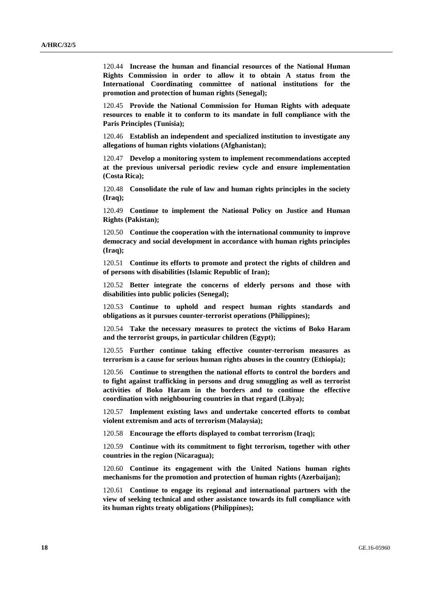120.44 **Increase the human and financial resources of the National Human Rights Commission in order to allow it to obtain A status from the International Coordinating committee of national institutions for the promotion and protection of human rights (Senegal);**

120.45 **Provide the National Commission for Human Rights with adequate resources to enable it to conform to its mandate in full compliance with the Paris Principles (Tunisia);**

120.46 **Establish an independent and specialized institution to investigate any allegations of human rights violations (Afghanistan);**

120.47 **Develop a monitoring system to implement recommendations accepted at the previous universal periodic review cycle and ensure implementation (Costa Rica);**

120.48 **Consolidate the rule of law and human rights principles in the society (Iraq);**

120.49 **Continue to implement the National Policy on Justice and Human Rights (Pakistan);**

120.50 **Continue the cooperation with the international community to improve democracy and social development in accordance with human rights principles (Iraq);**

120.51 **Continue its efforts to promote and protect the rights of children and of persons with disabilities (Islamic Republic of Iran);**

120.52 **Better integrate the concerns of elderly persons and those with disabilities into public policies (Senegal);**

120.53 **Continue to uphold and respect human rights standards and obligations as it pursues counter-terrorist operations (Philippines);**

120.54 **Take the necessary measures to protect the victims of Boko Haram and the terrorist groups, in particular children (Egypt);**

120.55 **Further continue taking effective counter-terrorism measures as terrorism is a cause for serious human rights abuses in the country (Ethiopia);**

120.56 **Continue to strengthen the national efforts to control the borders and to fight against trafficking in persons and drug smuggling as well as terrorist activities of Boko Haram in the borders and to continue the effective coordination with neighbouring countries in that regard (Libya);**

120.57 **Implement existing laws and undertake concerted efforts to combat violent extremism and acts of terrorism (Malaysia);**

120.58 **Encourage the efforts displayed to combat terrorism (Iraq);**

120.59 **Continue with its commitment to fight terrorism, together with other countries in the region (Nicaragua);**

120.60 **Continue its engagement with the United Nations human rights mechanisms for the promotion and protection of human rights (Azerbaijan);**

120.61 **Continue to engage its regional and international partners with the view of seeking technical and other assistance towards its full compliance with its human rights treaty obligations (Philippines);**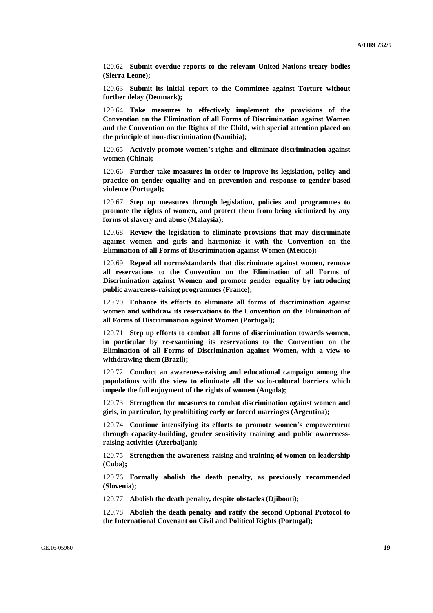120.62 **Submit overdue reports to the relevant United Nations treaty bodies (Sierra Leone);**

120.63 **Submit its initial report to the Committee against Torture without further delay (Denmark);**

120.64 **Take measures to effectively implement the provisions of the Convention on the Elimination of all Forms of Discrimination against Women and the Convention on the Rights of the Child, with special attention placed on the principle of non-discrimination (Namibia);**

120.65 **Actively promote women's rights and eliminate discrimination against women (China);**

120.66 **Further take measures in order to improve its legislation, policy and practice on gender equality and on prevention and response to gender-based violence (Portugal);**

120.67 **Step up measures through legislation, policies and programmes to promote the rights of women, and protect them from being victimized by any forms of slavery and abuse (Malaysia);**

120.68 **Review the legislation to eliminate provisions that may discriminate against women and girls and harmonize it with the Convention on the Elimination of all Forms of Discrimination against Women (Mexico);**

120.69 **Repeal all norms/standards that discriminate against women, remove all reservations to the Convention on the Elimination of all Forms of Discrimination against Women and promote gender equality by introducing public awareness-raising programmes (France);**

120.70 **Enhance its efforts to eliminate all forms of discrimination against women and withdraw its reservations to the Convention on the Elimination of all Forms of Discrimination against Women (Portugal);**

120.71 **Step up efforts to combat all forms of discrimination towards women, in particular by re-examining its reservations to the Convention on the Elimination of all Forms of Discrimination against Women, with a view to withdrawing them (Brazil);**

120.72 **Conduct an awareness-raising and educational campaign among the populations with the view to eliminate all the socio-cultural barriers which impede the full enjoyment of the rights of women (Angola);**

120.73 **Strengthen the measures to combat discrimination against women and girls, in particular, by prohibiting early or forced marriages (Argentina);**

120.74 **Continue intensifying its efforts to promote women's empowerment through capacity-building, gender sensitivity training and public awarenessraising activities (Azerbaijan);**

120.75 **Strengthen the awareness-raising and training of women on leadership (Cuba);**

120.76 **Formally abolish the death penalty, as previously recommended (Slovenia);**

120.77 **Abolish the death penalty, despite obstacles (Djibouti);**

120.78 **Abolish the death penalty and ratify the second Optional Protocol to the International Covenant on Civil and Political Rights (Portugal);**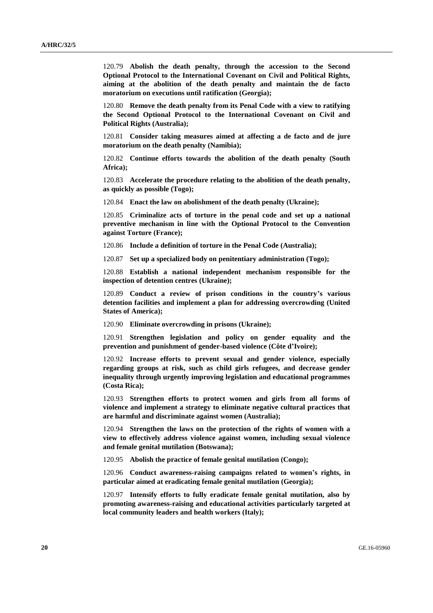120.79 **Abolish the death penalty, through the accession to the Second Optional Protocol to the International Covenant on Civil and Political Rights, aiming at the abolition of the death penalty and maintain the de facto moratorium on executions until ratification (Georgia);**

120.80 **Remove the death penalty from its Penal Code with a view to ratifying the Second Optional Protocol to the International Covenant on Civil and Political Rights (Australia);**

120.81 **Consider taking measures aimed at affecting a de facto and de jure moratorium on the death penalty (Namibia);**

120.82 **Continue efforts towards the abolition of the death penalty (South Africa);**

120.83 **Accelerate the procedure relating to the abolition of the death penalty, as quickly as possible (Togo);**

120.84 **Enact the law on abolishment of the death penalty (Ukraine);**

120.85 **Criminalize acts of torture in the penal code and set up a national preventive mechanism in line with the Optional Protocol to the Convention against Torture (France);**

120.86 **Include a definition of torture in the Penal Code (Australia);**

120.87 **Set up a specialized body on penitentiary administration (Togo);**

120.88 **Establish a national independent mechanism responsible for the inspection of detention centres (Ukraine);**

120.89 **Conduct a review of prison conditions in the country's various detention facilities and implement a plan for addressing overcrowding (United States of America);**

120.90 **Eliminate overcrowding in prisons (Ukraine);**

120.91 **Strengthen legislation and policy on gender equality and the prevention and punishment of gender-based violence (Côte d'Ivoire);**

120.92 **Increase efforts to prevent sexual and gender violence, especially regarding groups at risk, such as child girls refugees, and decrease gender inequality through urgently improving legislation and educational programmes (Costa Rica);**

120.93 **Strengthen efforts to protect women and girls from all forms of violence and implement a strategy to eliminate negative cultural practices that are harmful and discriminate against women (Australia);**

120.94 **Strengthen the laws on the protection of the rights of women with a view to effectively address violence against women, including sexual violence and female genital mutilation (Botswana);**

120.95 **Abolish the practice of female genital mutilation (Congo);**

120.96 **Conduct awareness-raising campaigns related to women's rights, in particular aimed at eradicating female genital mutilation (Georgia);**

120.97 **Intensify efforts to fully eradicate female genital mutilation, also by promoting awareness-raising and educational activities particularly targeted at local community leaders and health workers (Italy);**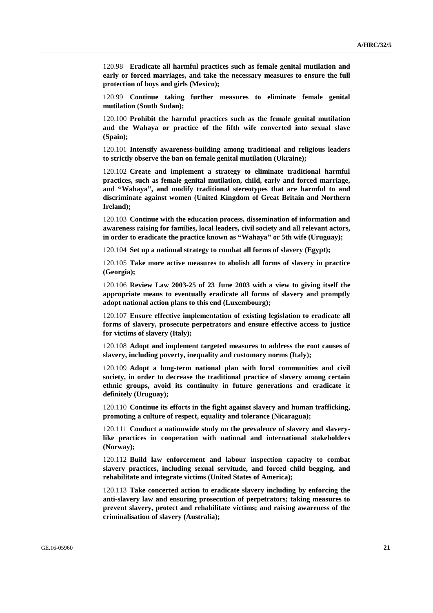120.98 **Eradicate all harmful practices such as female genital mutilation and early or forced marriages, and take the necessary measures to ensure the full protection of boys and girls (Mexico);**

120.99 **Continue taking further measures to eliminate female genital mutilation (South Sudan);**

120.100 **Prohibit the harmful practices such as the female genital mutilation and the Wahaya or practice of the fifth wife converted into sexual slave (Spain);**

120.101 **Intensify awareness-building among traditional and religious leaders to strictly observe the ban on female genital mutilation (Ukraine);**

120.102 **Create and implement a strategy to eliminate traditional harmful practices, such as female genital mutilation, child, early and forced marriage, and "Wahaya", and modify traditional stereotypes that are harmful to and discriminate against women (United Kingdom of Great Britain and Northern Ireland);**

120.103 **Continue with the education process, dissemination of information and awareness raising for families, local leaders, civil society and all relevant actors, in order to eradicate the practice known as "Wahaya" or 5th wife (Uruguay);**

120.104 **Set up a national strategy to combat all forms of slavery (Egypt);**

120.105 **Take more active measures to abolish all forms of slavery in practice (Georgia);**

120.106 **Review Law 2003-25 of 23 June 2003 with a view to giving itself the appropriate means to eventually eradicate all forms of slavery and promptly adopt national action plans to this end (Luxembourg);**

120.107 **Ensure effective implementation of existing legislation to eradicate all forms of slavery, prosecute perpetrators and ensure effective access to justice for victims of slavery (Italy);**

120.108 **Adopt and implement targeted measures to address the root causes of slavery, including poverty, inequality and customary norms (Italy);**

120.109 **Adopt a long-term national plan with local communities and civil society, in order to decrease the traditional practice of slavery among certain ethnic groups, avoid its continuity in future generations and eradicate it definitely (Uruguay);**

120.110 **Continue its efforts in the fight against slavery and human trafficking, promoting a culture of respect, equality and tolerance (Nicaragua);**

120.111 **Conduct a nationwide study on the prevalence of slavery and slaverylike practices in cooperation with national and international stakeholders (Norway);**

120.112 **Build law enforcement and labour inspection capacity to combat slavery practices, including sexual servitude, and forced child begging, and rehabilitate and integrate victims (United States of America);**

120.113 **Take concerted action to eradicate slavery including by enforcing the anti-slavery law and ensuring prosecution of perpetrators; taking measures to prevent slavery, protect and rehabilitate victims; and raising awareness of the criminalisation of slavery (Australia);**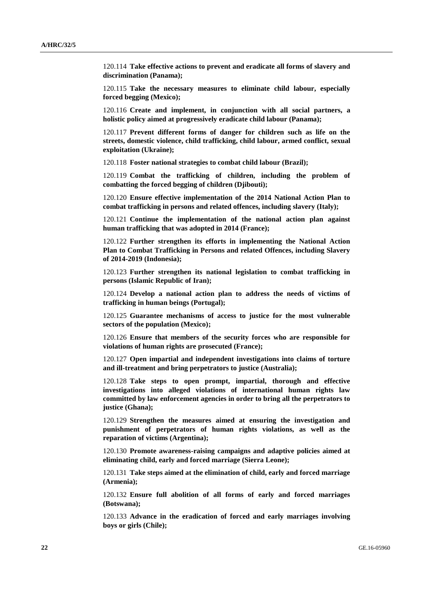120.114 **Take effective actions to prevent and eradicate all forms of slavery and discrimination (Panama);**

120.115 **Take the necessary measures to eliminate child labour, especially forced begging (Mexico);**

120.116 **Create and implement, in conjunction with all social partners, a holistic policy aimed at progressively eradicate child labour (Panama);**

120.117 **Prevent different forms of danger for children such as life on the streets, domestic violence, child trafficking, child labour, armed conflict, sexual exploitation (Ukraine);**

120.118 **Foster national strategies to combat child labour (Brazil);**

120.119 **Combat the trafficking of children, including the problem of combatting the forced begging of children (Djibouti);**

120.120 **Ensure effective implementation of the 2014 National Action Plan to combat trafficking in persons and related offences, including slavery (Italy);**

120.121 **Continue the implementation of the national action plan against human trafficking that was adopted in 2014 (France);**

120.122 **Further strengthen its efforts in implementing the National Action Plan to Combat Trafficking in Persons and related Offences, including Slavery of 2014-2019 (Indonesia);**

120.123 **Further strengthen its national legislation to combat trafficking in persons (Islamic Republic of Iran);**

120.124 **Develop a national action plan to address the needs of victims of trafficking in human beings (Portugal);**

120.125 **Guarantee mechanisms of access to justice for the most vulnerable sectors of the population (Mexico);**

120.126 **Ensure that members of the security forces who are responsible for violations of human rights are prosecuted (France);**

120.127 **Open impartial and independent investigations into claims of torture and ill-treatment and bring perpetrators to justice (Australia);**

120.128 **Take steps to open prompt, impartial, thorough and effective investigations into alleged violations of international human rights law committed by law enforcement agencies in order to bring all the perpetrators to justice (Ghana);**

120.129 **Strengthen the measures aimed at ensuring the investigation and punishment of perpetrators of human rights violations, as well as the reparation of victims (Argentina);**

120.130 **Promote awareness-raising campaigns and adaptive policies aimed at eliminating child, early and forced marriage (Sierra Leone);**

120.131 **Take steps aimed at the elimination of child, early and forced marriage (Armenia);**

120.132 **Ensure full abolition of all forms of early and forced marriages (Botswana);**

120.133 **Advance in the eradication of forced and early marriages involving boys or girls (Chile);**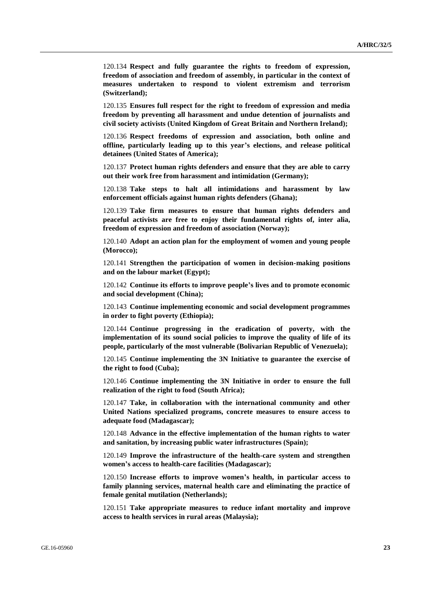120.134 **Respect and fully guarantee the rights to freedom of expression, freedom of association and freedom of assembly, in particular in the context of measures undertaken to respond to violent extremism and terrorism (Switzerland);**

120.135 **Ensures full respect for the right to freedom of expression and media freedom by preventing all harassment and undue detention of journalists and civil society activists (United Kingdom of Great Britain and Northern Ireland);**

120.136 **Respect freedoms of expression and association, both online and offline, particularly leading up to this year's elections, and release political detainees (United States of America);**

120.137 **Protect human rights defenders and ensure that they are able to carry out their work free from harassment and intimidation (Germany);**

120.138 **Take steps to halt all intimidations and harassment by law enforcement officials against human rights defenders (Ghana);**

120.139 **Take firm measures to ensure that human rights defenders and peaceful activists are free to enjoy their fundamental rights of, inter alia, freedom of expression and freedom of association (Norway);**

120.140 **Adopt an action plan for the employment of women and young people (Morocco);**

120.141 **Strengthen the participation of women in decision-making positions and on the labour market (Egypt);**

120.142 **Continue its efforts to improve people's lives and to promote economic and social development (China);**

120.143 **Continue implementing economic and social development programmes in order to fight poverty (Ethiopia);**

120.144 **Continue progressing in the eradication of poverty, with the implementation of its sound social policies to improve the quality of life of its people, particularly of the most vulnerable (Bolivarian Republic of Venezuela);**

120.145 **Continue implementing the 3N Initiative to guarantee the exercise of the right to food (Cuba);**

120.146 **Continue implementing the 3N Initiative in order to ensure the full realization of the right to food (South Africa);**

120.147 **Take, in collaboration with the international community and other United Nations specialized programs, concrete measures to ensure access to adequate food (Madagascar);**

120.148 **Advance in the effective implementation of the human rights to water and sanitation, by increasing public water infrastructures (Spain);**

120.149 **Improve the infrastructure of the health-care system and strengthen women's access to health-care facilities (Madagascar);**

120.150 **Increase efforts to improve women's health, in particular access to family planning services, maternal health care and eliminating the practice of female genital mutilation (Netherlands);**

120.151 **Take appropriate measures to reduce infant mortality and improve access to health services in rural areas (Malaysia);**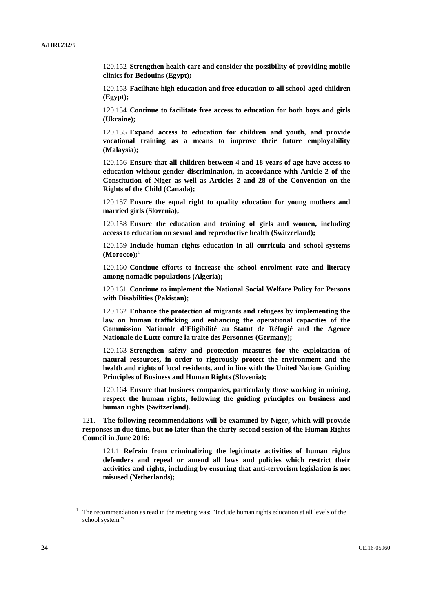120.152 **Strengthen health care and consider the possibility of providing mobile clinics for Bedouins (Egypt);**

120.153 **Facilitate high education and free education to all school-aged children (Egypt);**

120.154 **Continue to facilitate free access to education for both boys and girls (Ukraine);**

120.155 **Expand access to education for children and youth, and provide vocational training as a means to improve their future employability (Malaysia);**

120.156 **Ensure that all children between 4 and 18 years of age have access to education without gender discrimination, in accordance with Article 2 of the Constitution of Niger as well as Articles 2 and 28 of the Convention on the Rights of the Child (Canada);**

120.157 **Ensure the equal right to quality education for young mothers and married girls (Slovenia);**

120.158 **Ensure the education and training of girls and women, including access to education on sexual and reproductive health (Switzerland);**

120.159 **Include human rights education in all curricula and school systems (Morocco);**<sup>1</sup>

120.160 **Continue efforts to increase the school enrolment rate and literacy among nomadic populations (Algeria);**

120.161 **Continue to implement the National Social Welfare Policy for Persons with Disabilities (Pakistan);**

120.162 **Enhance the protection of migrants and refugees by implementing the law on human trafficking and enhancing the operational capacities of the Commission Nationale d'Eligibilité au Statut de Réfugié and the Agence Nationale de Lutte contre la traite des Personnes (Germany);**

120.163 **Strengthen safety and protection measures for the exploitation of natural resources, in order to rigorously protect the environment and the health and rights of local residents, and in line with the United Nations Guiding Principles of Business and Human Rights (Slovenia);**

120.164 **Ensure that business companies, particularly those working in mining, respect the human rights, following the guiding principles on business and human rights (Switzerland).**

121. **The following recommendations will be examined by Niger, which will provide responses in due time, but no later than the thirty-second session of the Human Rights Council in June 2016:**

121.1 **Refrain from criminalizing the legitimate activities of human rights defenders and repeal or amend all laws and policies which restrict their activities and rights, including by ensuring that anti-terrorism legislation is not misused (Netherlands);**

 $1$  The recommendation as read in the meeting was: "Include human rights education at all levels of the school system."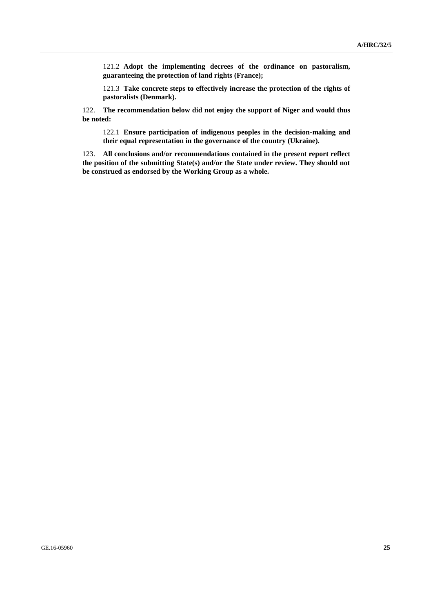121.2 **Adopt the implementing decrees of the ordinance on pastoralism, guaranteeing the protection of land rights (France);**

121.3 **Take concrete steps to effectively increase the protection of the rights of pastoralists (Denmark).**

122. **The recommendation below did not enjoy the support of Niger and would thus be noted:**

122.1 **Ensure participation of indigenous peoples in the decision-making and their equal representation in the governance of the country (Ukraine).**

123. **All conclusions and/or recommendations contained in the present report reflect the position of the submitting State(s) and/or the State under review. They should not be construed as endorsed by the Working Group as a whole.**